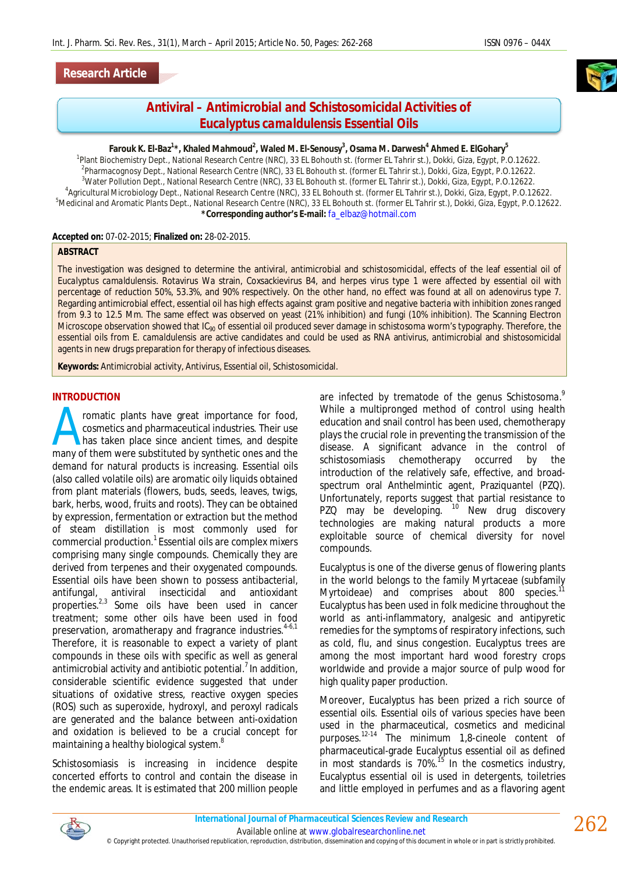# **Antiviral – Antimicrobial and Schistosomicidal Activities of**  *Eucalyptus camaldulensis* **Essential Oils**

#### **Farouk K. El-Baz<sup>1</sup> \*, Khaled Mahmoud<sup>2</sup> , Waled M. El-Senousy<sup>3</sup> , Osama M. Darwesh<sup>4</sup> Ahmed E. ElGohary<sup>5</sup>**

 Plant Biochemistry Dept., National Research Centre (NRC), 33 EL Bohouth st. (former EL Tahrir st.), Dokki, Giza, Egypt, P.O.12622. Pharmacognosy Dept., National Research Centre (NRC), 33 EL Bohouth st. (former EL Tahrir st.), Dokki, Giza, Egypt, P.O.12622. Water Pollution Dept., National Research Centre (NRC), 33 EL Bohouth st. (former EL Tahrir st.), Dokki, Giza, Egypt, P.O.12622. Agricultural Microbiology Dept., National Research Centre (NRC), 33 EL Bohouth st. (former EL Tahrir st.), Dokki, Giza, Egypt, P.O.12622. <sup>5</sup>Medicinal and Aromatic Plants Dept., National Research Centre (NRC), 33 EL Bohouth st. (former EL Tahrir st.), Dokki, Giza, Egypt, P.O.12622. **\*Corresponding author's E-mail:** fa\_elbaz@hotmail.com

#### **Accepted on:** 07-02-2015; **Finalized on:** 28-02-2015.

#### **ABSTRACT**

The investigation was designed to determine the antiviral, antimicrobial and schistosomicidal, effects of the leaf essential oil of *Eucalyptus camaldulensis*. Rotavirus Wa strain, Coxsackievirus B4, and herpes virus type 1 were affected by essential oil with percentage of reduction 50%, 53.3%, and 90% respectively. On the other hand, no effect was found at all on adenovirus type 7. Regarding antimicrobial effect, essential oil has high effects against gram positive and negative bacteria with inhibition zones ranged from 9.3 to 12.5 Mm. The same effect was observed on yeast (21% inhibition) and fungi (10% inhibition). The Scanning Electron Microscope observation showed that IC<sub>90</sub> of essential oil produced sever damage in schistosoma worm's typography. Therefore, the essential oils from *E. camaldulensis* are active candidates and could be used as RNA antivirus, antimicrobial and shistosomicidal agents in new drugs preparation for therapy of infectious diseases.

**Keywords:** Antimicrobial activity, Antivirus, Essential oil, Schistosomicidal.

#### **INTRODUCTION**

romatic plants have great importance for food, cosmetics and pharmaceutical industries. Their use has taken place since ancient times, and despite many of them were substituted by synthetic ones and the many of them were substituted by synthetic ones and the demand for natural products is increasing. Essential oils (also called volatile oils) are aromatic oily liquids obtained from plant materials (flowers, buds, seeds, leaves, twigs, bark, herbs, wood, fruits and roots). They can be obtained by expression, fermentation or extraction but the method of steam distillation is most commonly used for commercial production.<sup>1</sup> Essential oils are complex mixers comprising many single compounds. Chemically they are derived from terpenes and their oxygenated compounds. Essential oils have been shown to possess antibacterial, antifungal, antiviral insecticidal and antioxidant properties.2,3 Some oils have been used in cancer treatment; some other oils have been used in food preservation, aromatherapy and fragrance industries.<sup>4-6,1</sup> Therefore, it is reasonable to expect a variety of plant compounds in these oils with specific as well as general antimicrobial activity and antibiotic potential. $<sup>7</sup>$  In addition,</sup> considerable scientific evidence suggested that under situations of oxidative stress, reactive oxygen species (ROS) such as superoxide, hydroxyl, and peroxyl radicals are generated and the balance between anti-oxidation and oxidation is believed to be a crucial concept for maintaining a healthy biological system.<sup>8</sup>

Schistosomiasis is increasing in incidence despite concerted efforts to control and contain the disease in the endemic areas. It is estimated that 200 million people

are infected by trematode of the genus *Schistosoma*. 9 While a multipronged method of control using health education and snail control has been used, chemotherapy plays the crucial role in preventing the transmission of the disease. A significant advance in the control of schistosomiasis chemotherapy occurred by the introduction of the relatively safe, effective, and broadspectrum oral Anthelmintic agent, Praziquantel (PZQ). Unfortunately, reports suggest that partial resistance to PZQ may be developing. <sup>10</sup> New drug discovery technologies are making natural products a more exploitable source of chemical diversity for novel compounds.

Eucalyptus is one of the diverse genus of flowering plants in the world belongs to the family Myrtaceae (subfamily Myrtoideae) and comprises about 800 species.<sup>11</sup> Eucalyptus has been used in folk medicine throughout the world as anti-inflammatory, analgesic and antipyretic remedies for the symptoms of respiratory infections, such as cold, flu, and sinus congestion. Eucalyptus trees are among the most important hard wood forestry crops worldwide and provide a major source of pulp wood for high quality paper production.

Moreover, Eucalyptus has been prized a rich source of essential oils. Essential oils of various species have been used in the pharmaceutical, cosmetics and medicinal purposes.12-14 The minimum 1,8-cineole content of pharmaceutical-grade Eucalyptus essential oil as defined in most standards is 70%.<sup>15</sup> In the cosmetics industry, Eucalyptus essential oil is used in detergents, toiletries and little employed in perfumes and as a flavoring agent

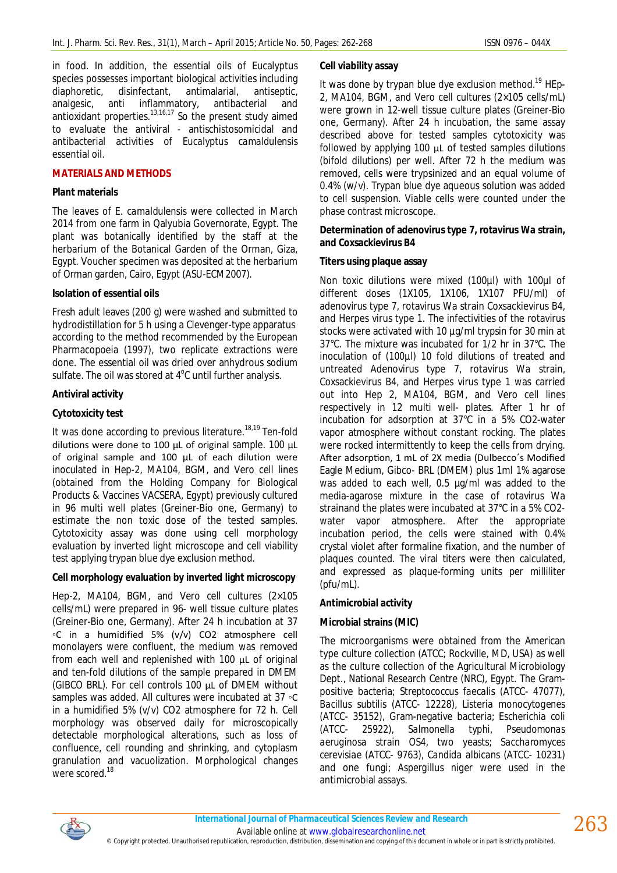in food. In addition, the essential oils of Eucalyptus species possesses important biological activities including diaphoretic, disinfectant, antimalarial, antiseptic, analgesic, anti inflammatory, antibacterial and antioxidant properties.13,16,17 So the present study aimed to evaluate the antiviral - antischistosomicidal and antibacterial activities of *Eucalyptus camaldulensis* essential oil.

# **MATERIALS AND METHODS**

#### **Plant materials**

The leaves of *E. camaldulensis* were collected in March 2014 from one farm in Qalyubia Governorate, Egypt. The plant was botanically identified by the staff at the herbarium of the Botanical Garden of the Orman, Giza, Egypt. Voucher specimen was deposited at the herbarium of Orman garden, Cairo, Egypt (ASU-ECM2007).

#### **Isolation of essential oils**

Fresh adult leaves (200 g) were washed and submitted to hydrodistillation for 5 h using a Clevenger-type apparatus according to the method recommended by the European Pharmacopoeia (1997), two replicate extractions were done. The essential oil was dried over anhydrous sodium sulfate. The oil was stored at  $4^{\circ}$ C until further analysis.

#### **Antiviral activity**

#### **Cytotoxicity test**

It was done according to previous literature.<sup>18,19</sup> Ten-fold dilutions were done to 100 µL of original sample. 100 µL of original sample and 100 µL of each dilution were inoculated in Hep-2, MA104, BGM, and Vero cell lines (obtained from the Holding Company for Biological Products & Vaccines VACSERA, Egypt) previously cultured in 96 multi well plates (Greiner-Bio one, Germany) to estimate the non toxic dose of the tested samples. Cytotoxicity assay was done using cell morphology evaluation by inverted light microscope and cell viability test applying trypan blue dye exclusion method.

# **Cell morphology evaluation by inverted light microscopy**

Hep-2, MA104, BGM, and Vero cell cultures (2×105 cells/mL) were prepared in 96- well tissue culture plates (Greiner-Bio one, Germany). After 24 h incubation at 37 ◦C in a humidified 5% (v/v) CO2 atmosphere cell monolayers were confluent, the medium was removed from each well and replenished with 100 µL of original and ten-fold dilutions of the sample prepared in DMEM (GIBCO BRL). For cell controls 100 µL of DMEM without samples was added. All cultures were incubated at 37 ◦C in a humidified 5% (v/v) CO2 atmosphere for 72 h. Cell morphology was observed daily for microscopically detectable morphological alterations, such as loss of confluence, cell rounding and shrinking, and cytoplasm granulation and vacuolization. Morphological changes were scored.<sup>18</sup>

# **Cell viability assay**

It was done by trypan blue dye exclusion method.<sup>19</sup> HEp-2, MA104, BGM, and Vero cell cultures (2×105 cells/mL) were grown in 12-well tissue culture plates (Greiner-Bio one, Germany). After 24 h incubation, the same assay described above for tested samples cytotoxicity was followed by applying 100 µL of tested samples dilutions (bifold dilutions) per well. After 72 h the medium was removed, cells were trypsinized and an equal volume of 0.4% (w/v). Trypan blue dye aqueous solution was added to cell suspension. Viable cells were counted under the phase contrast microscope.

#### **Determination of adenovirus type 7, rotavirus Wa strain, and Coxsackievirus B4**

#### **Titers using plaque assay**

Non toxic dilutions were mixed (100µl) with 100µl of different doses (1X105, 1X106, 1X107 PFU/ml) of adenovirus type 7, rotavirus Wa strain Coxsackievirus B4, and Herpes virus type 1. The infectivities of the rotavirus stocks were activated with 10 µg/ml trypsin for 30 min at 37°C. The mixture was incubated for 1/2 hr in 37°C. The inoculation of (100µl) 10 fold dilutions of treated and untreated Adenovirus type 7, rotavirus Wa strain, Coxsackievirus B4, and Herpes virus type 1 was carried out into Hep 2, MA104, BGM, and Vero cell lines respectively in 12 multi well- plates. After 1 hr of incubation for adsorption at 37°C in a 5% CO2-water vapor atmosphere without constant rocking. The plates were rocked intermittently to keep the cells from drying. After adsorption, 1 mL of 2X media (Dulbecco's Modified Eagle Medium, Gibco- BRL (DMEM) plus 1ml 1% agarose was added to each well, 0.5 µg/ml was added to the media-agarose mixture in the case of rotavirus Wa strainand the plates were incubated at 37°C in a 5% CO2 water vapor atmosphere. After the appropriate incubation period, the cells were stained with 0.4% crystal violet after formaline fixation, and the number of plaques counted. The viral titers were then calculated, and expressed as plaque-forming units per milliliter (pfu/mL).

# **Antimicrobial activity**

# **Microbial strains (MIC)**

The microorganisms were obtained from the American type culture collection (ATCC; Rockville, MD, USA) as well as the culture collection of the Agricultural Microbiology Dept., National Research Centre (NRC), Egypt. The Grampositive bacteria; *Streptococcus faecalis* (ATCC- 47077), *Bacillus subtilis* (ATCC- 12228), *Listeria monocytogenes*  (ATCC- 35152), Gram-negative bacteria; *Escherichia coli* (ATCC- 25922), *Salmonella typhi, Pseudomonas aeruginosa* strain OS4, two yeasts; *Saccharomyces cerevisiae* (ATCC- 9763), *Candida albicans* (ATCC- 10231) and one fungi; *Aspergillus niger* were used in the antimicrobial assays.



Available online at www.globalresearchonline.net © Copyright protected. Unauthorised republication, reproduction, distribution, dissemination and copying of this document in whole or in part is strictly prohibited.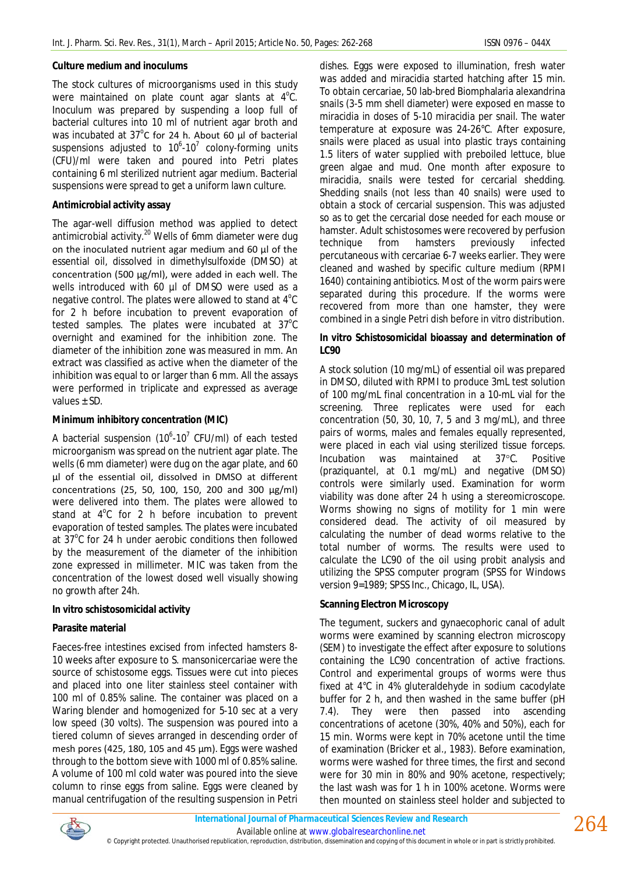#### **Culture medium and inoculums**

The stock cultures of microorganisms used in this study were maintained on plate count agar slants at  $4^{\circ}$ C. Inoculum was prepared by suspending a loop full of bacterial cultures into 10 ml of nutrient agar broth and was incubated at  $37^{\circ}$ C for 24 h. About 60 µl of bacterial suspensions adjusted to  $10^6$ -10<sup>7</sup> colony-forming units (CFU)/ml were taken and poured into Petri plates containing 6 ml sterilized nutrient agar medium. Bacterial suspensions were spread to get a uniform lawn culture.

#### **Antimicrobial activity assay**

The agar-well diffusion method was applied to detect antimicrobial activity.<sup>20</sup> Wells of 6mm diameter were dug on the inoculated nutrient agar medium and 60 µl of the essential oil, dissolved in dimethylsulfoxide (DMSO) at concentration (500 µg/ml), were added in each well. The wells introduced with 60 µl of DMSO were used as a negative control. The plates were allowed to stand at  $4^{\circ}$ C for 2 h before incubation to prevent evaporation of tested samples. The plates were incubated at  $37^{\circ}$ C overnight and examined for the inhibition zone. The diameter of the inhibition zone was measured in mm. An extract was classified as active when the diameter of the inhibition was equal to or larger than 6 mm. All the assays were performed in triplicate and expressed as average values ± SD.

# **Minimum inhibitory concentration (MIC)**

A bacterial suspension (10 $^6$ -10<sup>7</sup> CFU/ml) of each tested microorganism was spread on the nutrient agar plate. The wells (6 mm diameter) were dug on the agar plate, and 60 µl of the essential oil, dissolved in DMSO at different concentrations (25, 50, 100, 150, 200 and 300 µg/ml) were delivered into them. The plates were allowed to stand at  $4^{\circ}$ C for 2 h before incubation to prevent evaporation of tested samples. The plates were incubated at 37°C for 24 h under aerobic conditions then followed by the measurement of the diameter of the inhibition zone expressed in millimeter. MIC was taken from the concentration of the lowest dosed well visually showing no growth after 24h.

# *In vitro* **schistosomicidal activity**

# **Parasite material**

Faeces-free intestines excised from infected hamsters 8- 10 weeks after exposure to S. mansonicercariae were the source of schistosome eggs. Tissues were cut into pieces and placed into one liter stainless steel container with 100 ml of 0.85% saline. The container was placed on a Waring blender and homogenized for 5-10 sec at a very low speed (30 volts). The suspension was poured into a tiered column of sieves arranged in descending order of mesh pores (425, 180, 105 and 45 µm). Eggs were washed through to the bottom sieve with 1000 ml of 0.85% saline. A volume of 100 ml cold water was poured into the sieve column to rinse eggs from saline. Eggs were cleaned by manual centrifugation of the resulting suspension in Petri

dishes. Eggs were exposed to illumination, fresh water was added and miracidia started hatching after 15 min. To obtain cercariae, 50 lab-bred Biomphalaria alexandrina snails (3-5 mm shell diameter) were exposed en masse to miracidia in doses of 5-10 miracidia per snail. The water temperature at exposure was 24-26°C. After exposure, snails were placed as usual into plastic trays containing 1.5 liters of water supplied with preboiled lettuce, blue green algae and mud. One month after exposure to miracidia, snails were tested for cercarial shedding. Shedding snails (not less than 40 snails) were used to obtain a stock of cercarial suspension. This was adjusted so as to get the cercarial dose needed for each mouse or hamster. Adult schistosomes were recovered by perfusion technique from hamsters previously infected percutaneous with cercariae 6-7 weeks earlier. They were cleaned and washed by specific culture medium (RPMI 1640) containing antibiotics. Most of the worm pairs were separated during this procedure. If the worms were recovered from more than one hamster, they were combined in a single Petri dish before in vitro distribution.

# *In vitro* **Schistosomicidal bioassay and determination of LC90**

A stock solution (10 mg/mL) of essential oil was prepared in DMSO, diluted with RPMI to produce 3mL test solution of 100 mg/mL final concentration in a 10-mL vial for the screening. Three replicates were used for each concentration (50, 30, 10, 7, 5 and 3 mg/mL), and three pairs of worms, males and females equally represented, were placed in each vial using sterilized tissue forceps. Incubation was maintained at 37°C. Positive (praziquantel, at 0.1 mg/mL) and negative (DMSO) controls were similarly used. Examination for worm viability was done after 24 h using a stereomicroscope. Worms showing no signs of motility for 1 min were considered dead. The activity of oil measured by calculating the number of dead worms relative to the total number of worms. The results were used to calculate the LC90 of the oil using probit analysis and utilizing the SPSS computer program (SPSS for Windows version 9=1989; SPSS Inc., Chicago, IL, USA).

# **Scanning Electron Microscopy**

The tegument, suckers and gynaecophoric canal of adult worms were examined by scanning electron microscopy (SEM) to investigate the effect after exposure to solutions containing the LC90 concentration of active fractions. Control and experimental groups of worms were thus fixed at 4°C in 4% gluteraldehyde in sodium cacodylate buffer for 2 h, and then washed in the same buffer (pH 7.4). They were then passed into ascending concentrations of acetone (30%, 40% and 50%), each for 15 min. Worms were kept in 70% acetone until the time of examination (Bricker et al., 1983). Before examination, worms were washed for three times, the first and second were for 30 min in 80% and 90% acetone, respectively; the last wash was for 1 h in 100% acetone. Worms were then mounted on stainless steel holder and subjected to

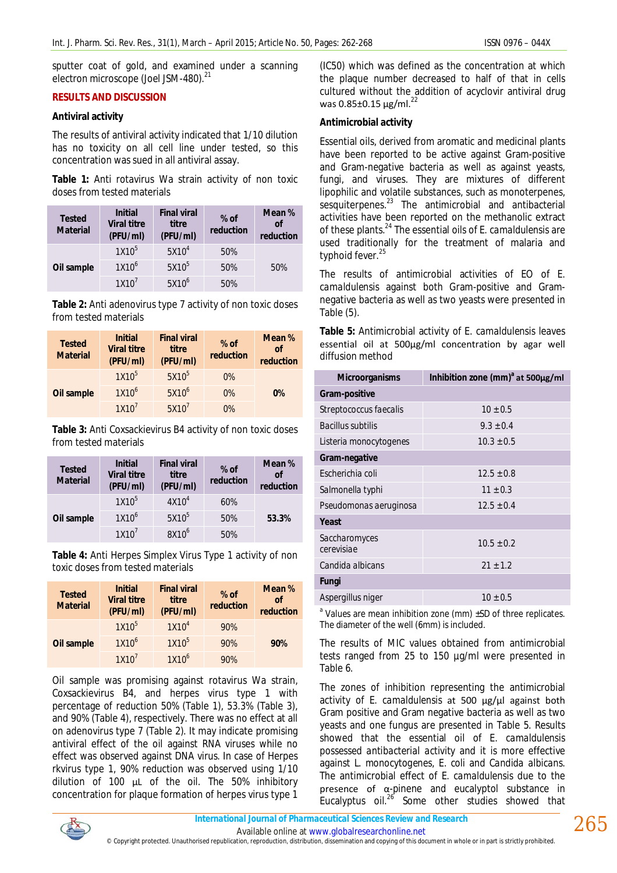sputter coat of gold, and examined under a scanning electron microscope (Joel JSM-480).<sup>21</sup>

# **RESULTS AND DISCUSSION**

#### **Antiviral activity**

The results of antiviral activity indicated that 1/10 dilution has no toxicity on all cell line under tested, so this concentration was sued in all antiviral assay.

**Table 1:** Anti rotavirus Wa strain activity of non toxic doses from tested materials

| <b>Tested</b><br><b>Material</b> | <b>Initial</b><br><b>Viral titre</b><br>(PFU/ml) | <b>Final viral</b><br>titre<br>(PFU/ml) | $%$ of<br>reduction | Mean %<br>of<br>reduction |
|----------------------------------|--------------------------------------------------|-----------------------------------------|---------------------|---------------------------|
| Oil sample                       | $1X10^5$                                         | 5X10 <sup>4</sup>                       | 50%                 | 50%                       |
|                                  | 1X10 <sup>6</sup>                                | $5X10^5$                                | 50%                 |                           |
|                                  | $1X10^7$                                         | $5X10^6$                                | 50%                 |                           |

**Table 2:** Anti adenovirus type 7 activity of non toxic doses from tested materials

| <b>Tested</b><br><b>Material</b> | <b>Initial</b><br><b>Viral titre</b><br>(PFU/ml) | <b>Final viral</b><br>titre<br>(PFU/ml) | $%$ of<br>reduction | Mean %<br>of<br>reduction |
|----------------------------------|--------------------------------------------------|-----------------------------------------|---------------------|---------------------------|
| Oil sample                       | 1X10 <sup>5</sup>                                | $5X10^5$                                | $0\%$               |                           |
|                                  | 1X10 <sup>6</sup>                                | $5X10^6$                                | $0\%$               | $0\%$                     |
|                                  | 1X10 <sup>7</sup>                                | 5X10 <sup>7</sup>                       | $0\%$               |                           |

**Table 3:** Anti Coxsackievirus B4 activity of non toxic doses from tested materials

| <b>Tested</b><br><b>Material</b> | <b>Initial</b><br><b>Viral titre</b><br>(PFU/ml) | <b>Final viral</b><br>titre<br>(PFU/ml) | $%$ of<br>reduction | Mean %<br><sub>of</sub><br>reduction |
|----------------------------------|--------------------------------------------------|-----------------------------------------|---------------------|--------------------------------------|
| Oil sample                       | $1X10^5$                                         | 4X10 <sup>4</sup>                       | 60%                 | 53.3%                                |
|                                  | 1X10 <sup>6</sup>                                | $5X10^5$                                | 50%                 |                                      |
|                                  | 1X10'                                            | 8X10 <sup>6</sup>                       | 50%                 |                                      |

**Table 4:** Anti Herpes Simplex Virus Type 1 activity of non toxic doses from tested materials

| <b>Tested</b><br><b>Material</b> | <b>Initial</b><br><b>Viral titre</b><br>(PFU/ml) | <b>Final viral</b><br>titre<br>(PFU/ml) | $%$ of<br>reduction | Mean %<br>of<br>reduction |
|----------------------------------|--------------------------------------------------|-----------------------------------------|---------------------|---------------------------|
| Oil sample                       | 1X10 <sup>5</sup>                                | 1X10 <sup>4</sup>                       | 90%                 |                           |
|                                  | 1X10 <sup>6</sup>                                | 1X10 <sup>5</sup>                       | 90%                 | 90%                       |
|                                  | 1X10 <sup>7</sup>                                | 1X10 <sup>6</sup>                       | 90%                 |                           |

Oil sample was promising against rotavirus Wa strain, Coxsackievirus B4, and herpes virus type 1 with percentage of reduction 50% (Table 1), 53.3% (Table 3), and 90% (Table 4), respectively. There was no effect at all on adenovirus type 7 (Table 2). It may indicate promising antiviral effect of the oil against RNA viruses while no effect was observed against DNA virus. In case of Herpes rkvirus type 1, 90% reduction was observed using 1/10 dilution of 100 µL of the oil. The 50% inhibitory concentration for plaque formation of herpes virus type 1

(IC50) which was defined as the concentration at which the plaque number decreased to half of that in cells cultured without the addition of acyclovir antiviral drug was  $0.85 \pm 0.15$  ug/ml.<sup>22</sup>

# **Antimicrobial activity**

Essential oils, derived from aromatic and medicinal plants have been reported to be active against Gram-positive and Gram-negative bacteria as well as against yeasts, fungi, and viruses. They are mixtures of different lipophilic and volatile substances, such as monoterpenes, sesquiterpenes.<sup>23</sup> The antimicrobial and antibacterial activities have been reported on the methanolic extract of these plants.<sup>24</sup> The essential oils of *E. camaldulensis* are used traditionally for the treatment of malaria and typhoid fever.<sup>25</sup>

The results of antimicrobial activities of EO of *E. camaldulensis* against both Gram-positive and Gramnegative bacteria as well as two yeasts were presented in Table (5).

**Table 5:** Antimicrobial activity of *E. camaldulensis* leaves essential oil at 500µg/ml concentration by agar well diffusion method

| <b>Microorganisms</b>       | Inhibition zone (mm) <sup>a</sup> at 500µg/ml |  |  |
|-----------------------------|-----------------------------------------------|--|--|
| Gram-positive               |                                               |  |  |
| Streptococcus faecalis      | $10 \pm 0.5$                                  |  |  |
| <b>Bacillus subtilis</b>    | $9.3 + 0.4$                                   |  |  |
| Listeria monocytogenes      | $10.3 \pm 0.5$                                |  |  |
| Gram-negative               |                                               |  |  |
| Escherichia coli            | $12.5 \pm 0.8$                                |  |  |
| Salmonella typhi            | $11 \pm 0.3$                                  |  |  |
| Pseudomonas aeruginosa      | $12.5 \pm 0.4$                                |  |  |
| Yeast                       |                                               |  |  |
| Saccharomyces<br>cerevisiae | $10.5 \pm 0.2$                                |  |  |
| Candida albicans            | $21 + 1.2$                                    |  |  |
| <b>Fungi</b>                |                                               |  |  |
| Aspergillus niger           | $10 \pm 0.5$                                  |  |  |

<sup>a</sup> Values are mean inhibition zone (mm) ±SD of three replicates. The diameter of the well (6mm) is included.

The results of MIC values obtained from antimicrobial tests ranged from 25 to 150 µg/ml were presented in Table 6.

The zones of inhibition representing the antimicrobial activity of *E. camaldulensis* at 500 µg/µl against both Gram positive and Gram negative bacteria as well as two yeasts and one fungus are presented in Table 5. Results showed that the essential oil of *E. camaldulensis possessed antibacterial activity* and it is more effective against *L. monocytogenes, E. coli* and *Candida albicans*. The antimicrobial effect of *E. camaldulensis* due to the presence of α-pinene and eucalyptol substance in Eucalyptus oil. $^{26}$  Some other studies showed that



© Copyright protected. Unauthorised republication, reproduction, distribution, dissemination and copying of this document in whole or in part is strictly prohibited.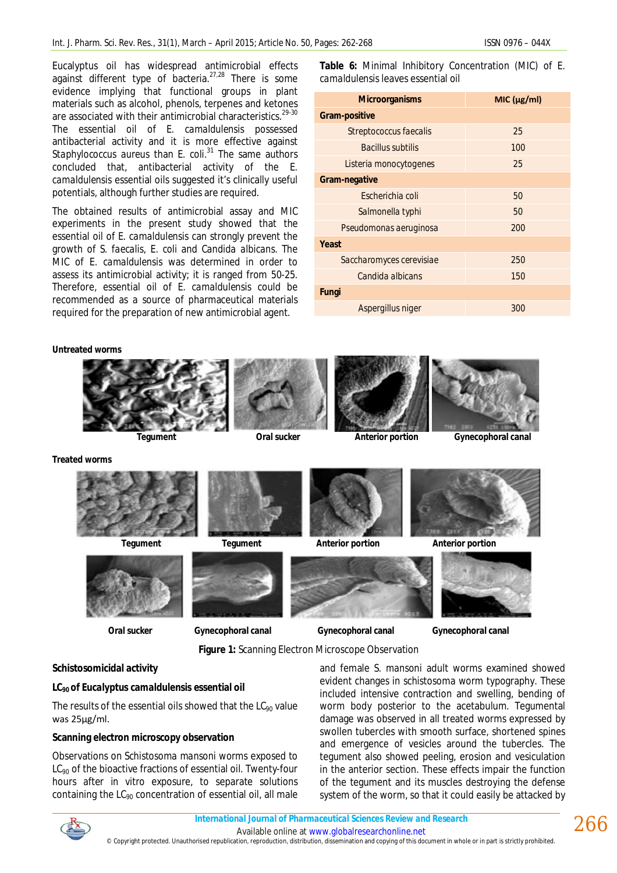Eucalyptus oil has widespread antimicrobial effects against different type of bacteria.27,28 There is some evidence implying that functional groups in plant materials such as alcohol, phenols, terpenes and ketones are associated with their antimicrobial characteristics.<sup>29-30</sup> The essential oil of *E. camaldulensis* possessed antibacterial activity and it is more effective against *Staphylococcus aureus* than *E. coli*. <sup>31</sup> The same authors concluded that, antibacterial activity of the *E. camaldulensis* essential oils suggested it's clinically useful potentials, although further studies are required.

The obtained results of antimicrobial assay and MIC experiments in the present study showed that the essential oil of *E. camaldulensis* can strongly prevent the growth of *S. faecalis, E. coli* and *Candida albicans.* The MIC of *E. camaldulensis* was determined in order to assess its antimicrobial activity; it is ranged from 50-25. Therefore, essential oil of *E. camaldulensis* could be recommended as a source of pharmaceutical materials required for the preparation of new antimicrobial agent.

**Table 6:** Minimal Inhibitory Concentration (MIC) of *E. camaldulensis* leaves essential oil

| <b>Microorganisms</b>    | MIC (µg/ml) |  |  |
|--------------------------|-------------|--|--|
| <b>Gram-positive</b>     |             |  |  |
| Streptococcus faecalis   | 25          |  |  |
| <b>Bacillus subtilis</b> | 100         |  |  |
| Listeria monocytogenes   | 25          |  |  |
| Gram-negative            |             |  |  |
| Escherichia coli         | 50          |  |  |
| Salmonella typhi         | 50          |  |  |
| Pseudomonas aeruginosa   | 200         |  |  |
| Yeast                    |             |  |  |
| Saccharomyces cerevisiae | 250         |  |  |
| Candida albicans         | 150         |  |  |
| Fungi                    |             |  |  |
| Aspergillus niger        | 300         |  |  |

**Untreated worms**



**Figure 1:** Scanning Electron Microscope Observation

# **Schistosomicidal activity**

#### **LC90 of** *Eucalyptus camaldulensis* **essential oil**

The results of the essential oils showed that the  $LC_{90}$  value was 25µg/ml.

#### **Scanning electron microscopy observation**

Observations on *Schistosoma mansoni* worms exposed to LC<sub>90</sub> of the bioactive fractions of essential oil. Twenty-four hours after *in vitro* exposure, to separate solutions containing the  $LC_{90}$  concentration of essential oil, all male

and female *S. mansoni* adult worms examined showed evident changes in schistosoma worm typography. These included intensive contraction and swelling, bending of worm body posterior to the acetabulum. Tegumental damage was observed in all treated worms expressed by swollen tubercles with smooth surface, shortened spines and emergence of vesicles around the tubercles. The tegument also showed peeling, erosion and vesiculation in the anterior section. These effects impair the function of the tegument and its muscles destroying the defense system of the worm, so that it could easily be attacked by



© Copyright protected. Unauthorised republication, reproduction, distribution, dissemination and copying of this document in whole or in part is strictly prohibited.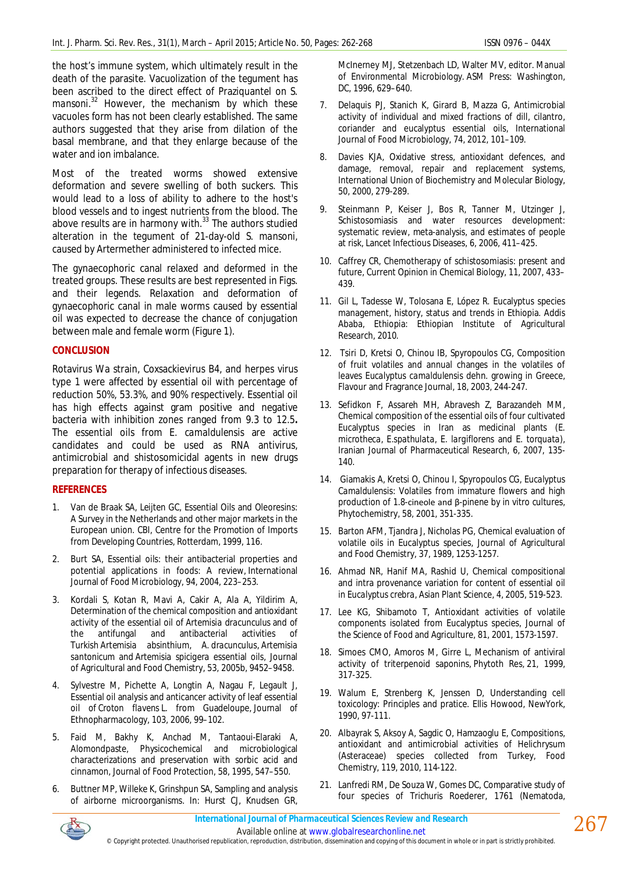the host's immune system, which ultimately result in the death of the parasite. Vacuolization of the tegument has been ascribed to the direct effect of Praziquantel on *S. mansoni*. <sup>32</sup> However, the mechanism by which these vacuoles form has not been clearly established. The same authors suggested that they arise from dilation of the basal membrane, and that they enlarge because of the water and ion imbalance.

Most of the treated worms showed extensive deformation and severe swelling of both suckers. This would lead to a loss of ability to adhere to the host's blood vessels and to ingest nutrients from the blood. The above results are in harmony with. $33$  The authors studied alteration in the tegument of 21-day-old *S. mansoni*, caused by Artermether administered to infected mice.

The gynaecophoric canal relaxed and deformed in the treated groups. These results are best represented in Figs. and their legends. Relaxation and deformation of gynaecophoric canal in male worms caused by essential oil was expected to decrease the chance of conjugation between male and female worm (Figure 1).

#### **CONCLUSION**

Rotavirus Wa strain, Coxsackievirus B4, and herpes virus type 1 were affected by essential oil with percentage of reduction 50%, 53.3%, and 90% respectively. Essential oil has high effects against gram positive and negative bacteria with inhibition zones ranged from 9.3 to 12.5**.**  The essential oils from *E. camaldulensis* are active candidates and could be used as RNA antivirus, antimicrobial and shistosomicidal agents in new drugs preparation for therapy of infectious diseases.

# **REFERENCES**

- 1. Van de Braak SA, Leijten GC, Essential Oils and Oleoresins: A Survey in the Netherlands and other major markets in the European union. CBI, Centre for the Promotion of Imports from Developing Countries, Rotterdam, 1999, 116.
- 2. Burt SA, Essential oils: their antibacterial properties and potential applications in foods: A review, International Journal of Food Microbiology, 94, 2004, 223–253.
- 3. Kordali S, Kotan R, Mavi A, Cakir A, Ala A, Yildirim A, Determination of the chemical composition and antioxidant activity of the essential oil of *Artemisia dracunculus* and of the antifungal and antibacterial activities of Turkish *Artemisia absinthium*, *A. dracunculus*, *Artemisia santonicum* and *Artemisia spicigera* essential oils, Journal of Agricultural and Food Chemistry, 53, 2005b, 9452–9458.
- 4. Sylvestre M, Pichette A, Longtin A, Nagau F, Legault J, Essential oil analysis and anticancer activity of leaf essential oil of *Croton flavens* L. from Guadeloupe, Journal of Ethnopharmacology, 103, 2006, 99–102.
- 5. Faid M, Bakhy K, Anchad M, Tantaoui-Elaraki A, Alomondpaste, Physicochemical and microbiological characterizations and preservation with sorbic acid and cinnamon, Journal of Food Protection, 58, 1995, 547–550.
- 6. Buttner MP, Willeke K, Grinshpun SA, Sampling and analysis of airborne microorganisms. In: Hurst CJ, Knudsen GR,

McInerney MJ, Stetzenbach LD, Walter MV, editor. Manual of Environmental Microbiology. ASM Press: Washington, DC, 1996, 629–640.

- 7. Delaquis PJ, Stanich K, Girard B, Mazza G, Antimicrobial activity of individual and mixed fractions of dill, cilantro, coriander and eucalyptus essential oils, International Journal of Food Microbiology, 74, 2012, 101–109.
- 8. Davies KJA, Oxidative stress, antioxidant defences, and damage, removal, repair and replacement systems, International Union of Biochemistry and Molecular Biology, 50, 2000, 279-289.
- Steinmann P, Keiser J, Bos R, Tanner M, Utzinger J, Schistosomiasis and water resources development: systematic review, meta-analysis, and estimates of people at risk, Lancet Infectious Diseases, 6, 2006, 411–425.
- 10. Caffrey CR, Chemotherapy of schistosomiasis: present and future, Current Opinion in Chemical Biology, 11, 2007, 433– 439.
- 11. Gil L, Tadesse W, Tolosana E, López R. Eucalyptus species management, history, status and trends in Ethiopia. Addis Ababa, Ethiopia: Ethiopian Institute of Agricultural Research, 2010.
- 12. Tsiri D, Kretsi O, Chinou IB, Spyropoulos CG, Composition of fruit volatiles and annual changes in the volatiles of leaves *Eucalyptus camaldulensis* dehn. growing in Greece, Flavour and Fragrance Journal, 18, 2003, 244-247.
- 13. Sefidkon F, Assareh MH, Abravesh Z, Barazandeh MM, Chemical composition of the essential oils of four cultivated Eucalyptus species in Iran as medicinal plants (*E. microtheca, E.spathulata, E. largiflorens* and *E. torquata*), Iranian Journal of Pharmaceutical Research, 6, 2007, 135- 140.
- 14. Giamakis A, Kretsi O, Chinou I, Spyropoulos CG, *Eucalyptus Camaldulensis*: Volatiles from immature flowers and high production of 1.8-cineole and β-pinene by *in vitro* cultures, Phytochemistry, 58, 2001, 351-335.
- 15. Barton AFM, Tjandra J, Nicholas PG, Chemical evaluation of volatile oils in Eucalyptus species, Journal of Agricultural and Food Chemistry, 37, 1989, 1253-1257.
- 16. Ahmad NR, Hanif MA, Rashid U, Chemical compositional and intra provenance variation for content of essential oil in *Eucalyptus crebra*, Asian Plant Science, 4, 2005, 519-523.
- 17. Lee KG, Shibamoto T, Antioxidant activities of volatile components isolated from Eucalyptus species, Journal of the Science of Food and Agriculture, 81, 2001, 1573-1597.
- 18. Simoes CMO, Amoros M, Girre L, Mechanism of antiviral activity of triterpenoid saponins, Phytoth Res, 21, 1999, 317-325.
- 19. Walum E, Strenberg K, Jenssen D, Understanding cell toxicology: Principles and pratice. Ellis Howood, NewYork, 1990, 97-111.
- 20. Albayrak S, Aksoy A, Sagdic O, Hamzaoglu E, Compositions, antioxidant and antimicrobial activities of Helichrysum (Asteraceae) species collected from Turkey, Food Chemistry, 119, 2010, 114-122.
- 21. Lanfredi RM, De Souza W, Gomes DC, Comparative study of four species of *Trichuris* Roederer, 1761 (Nematoda,